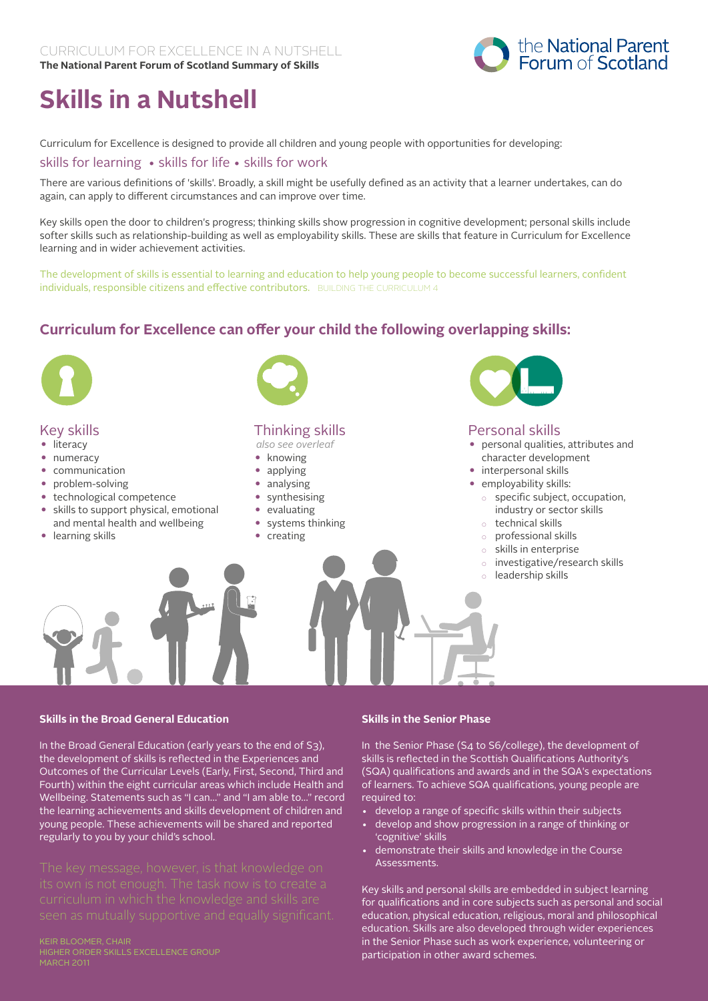

# **Skills in a Nutshell**

Curriculum for Excellence is designed to provide all children and young people with opportunities for developing:

skills for learning • skills for life • skills for work

There are various definitions of 'skills'. Broadly, a skill might be usefully defined as an activity that a learner undertakes, can do again, can apply to different circumstances and can improve over time.

Key skills open the door to children's progress; thinking skills show progression in cognitive development; personal skills include softer skills such as relationship-building as well as employability skills. These are skills that feature in Curriculum for Excellence learning and in wider achievement activities.

The development of skills is essential to learning and education to help young people to become successful learners, confident individuals, responsible citizens and effective contributors. BUILDING THE CURRICULUM 4

# **Curriculum for Excellence can offer your child the following overlapping skills:**



## Key skills

- literacy
- numeracy
- • communication
- problem-solving
- technological competence
- skills to support physical, emotional and mental health and wellbeing
- learning skills



# Thinking skills

*also see overleaf*

- knowing
- applying
- analysing
- synthesising
- • evaluating
- • systems thinking
- creating



## Personal skills

- personal qualities, attributes and character development
- interpersonal skills
- employability skills:
	- specific subject, occupation, industry or sector skills
	- technical skills
	- professional skills
	- skills in enterprise
	- investigative/research skills
	- leadership skills

#### **Skills in the Broad General Education**

In the Broad General Education (early years to the end of S3), the development of skills is reflected in the Experiences and Outcomes of the Curricular Levels (Early, First, Second, Third and Fourth) within the eight curricular areas which include Health and Wellbeing. Statements such as "I can…" and "I am able to…" record the learning achievements and skills development of children and young people. These achievements will be shared and reported regularly to you by your child's school.

#### Keir Bloomer, Chair Higher Order Skills Excellence Group

#### **Skills in the Senior Phase**

In the Senior Phase (S4 to S6/college), the development of skills is reflected in the Scottish Qualifications Authority's (SQA) qualifications and awards and in the SQA's expectations of learners. To achieve SQA qualifications, young people are required to:

- develop a range of specific skills within their subjects
- develop and show progression in a range of thinking or 'cognitive' skills
- demonstrate their skills and knowledge in the Course Assessments.

Key skills and personal skills are embedded in subject learning for qualifications and in core subjects such as personal and social education, physical education, religious, moral and philosophical education. Skills are also developed through wider experiences in the Senior Phase such as work experience, volunteering or participation in other award schemes.